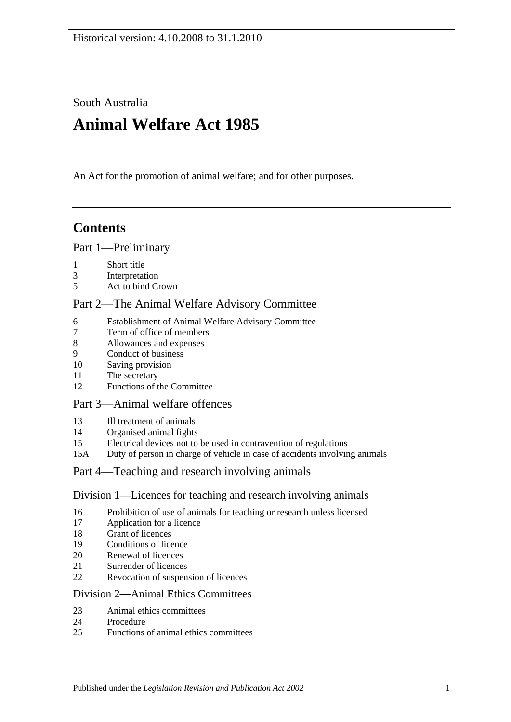South Australia

# **Animal Welfare Act 1985**

An Act for the promotion of animal welfare; and for other purposes.

# **Contents**

#### [Part 1—Preliminary](#page-1-0)

- [Short title](#page-1-1)
- [Interpretation](#page-2-0)
- [Act to bind Crown](#page-3-0)

# [Part 2—The Animal Welfare Advisory Committee](#page-3-1)

- [Establishment of Animal Welfare Advisory Committee](#page-3-2)
- [Term of office of members](#page-4-0)<br>8 Allowances and expenses
- [Allowances and expenses](#page-4-1)
- [Conduct of business](#page-5-0)
- [Saving provision](#page-5-1)
- [The secretary](#page-5-2)
- [Functions of the Committee](#page-5-3)

#### [Part 3—Animal welfare offences](#page-5-4)

- [Ill treatment of animals](#page-5-5)
- [Organised animal fights](#page-7-0)
- [Electrical devices not to be used in contravention of regulations](#page-7-1)
- 15A [Duty of person in charge of vehicle in case of accidents involving animals](#page-8-0)

# [Part 4—Teaching and research involving animals](#page-8-1)

#### [Division 1—Licences for teaching and research involving animals](#page-8-2)

- [Prohibition of use of animals for teaching or research unless licensed](#page-8-3)
- [Application for a licence](#page-8-4)
- [Grant of licences](#page-8-5)
- [Conditions of licence](#page-9-0)
- [Renewal of licences](#page-9-1)
- [Surrender of licences](#page-10-0)
- [Revocation of suspension of licences](#page-10-1)

#### [Division 2—Animal Ethics Committees](#page-10-2)

- [Animal ethics committees](#page-10-3)
- [Procedure](#page-11-0)
- [Functions of animal ethics committees](#page-11-1)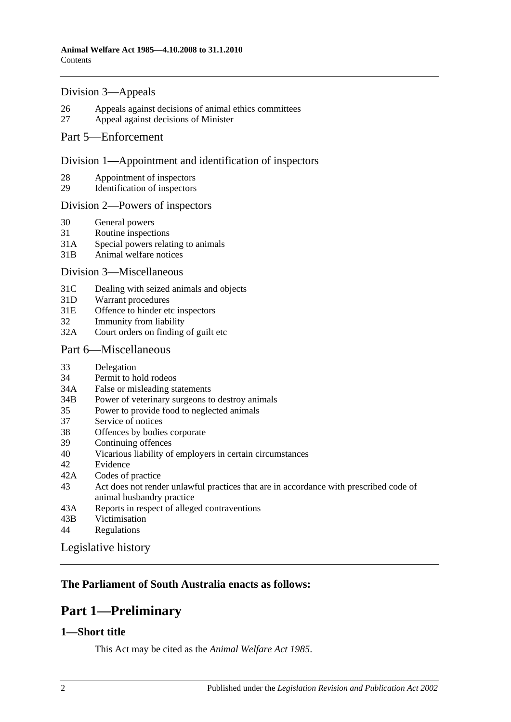#### [Division 3—Appeals](#page-12-0)

- 26 [Appeals against decisions of animal ethics committees](#page-12-1)
- 27 [Appeal against decisions of Minister](#page-12-2)

#### [Part 5—Enforcement](#page-13-0)

#### [Division 1—Appointment and identification of inspectors](#page-13-1)

- 28 [Appointment of inspectors](#page-13-2)
- 29 [Identification of inspectors](#page-13-3)

#### [Division 2—Powers of inspectors](#page-14-0)

- 30 [General powers](#page-14-1)
- 31 [Routine inspections](#page-15-0)
- 31A [Special powers relating to animals](#page-16-0)
- 31B [Animal welfare notices](#page-17-0)

#### [Division 3—Miscellaneous](#page-17-1)

- 31C [Dealing with seized animals and objects](#page-17-2)
- 31D [Warrant procedures](#page-18-0)
- 31E [Offence to hinder etc inspectors](#page-19-0)
- 32 [Immunity from liability](#page-19-1)
- 32A [Court orders on finding of guilt etc](#page-19-2)

#### [Part 6—Miscellaneous](#page-20-0)

- 33 [Delegation](#page-20-1)
- 34 [Permit to hold rodeos](#page-20-2)
- 34A [False or misleading statements](#page-21-0)
- 34B [Power of veterinary surgeons to destroy animals](#page-21-1)
- 35 [Power to provide food to neglected animals](#page-21-2)
- 37 [Service of notices](#page-21-3)<br>38 Offences by bodie
- [Offences by bodies corporate](#page-21-4)
- 39 [Continuing offences](#page-21-5)
- 40 [Vicarious liability of employers in certain circumstances](#page-22-0)
- 42 [Evidence](#page-22-1)
- 42A [Codes of practice](#page-22-2)
- 43 [Act does not render unlawful practices that are in accordance with prescribed code of](#page-22-3)  [animal husbandry practice](#page-22-3)
- 43A [Reports in respect of alleged contraventions](#page-22-4)
- 43B [Victimisation](#page-23-0)
- 44 [Regulations](#page-23-1)

[Legislative history](#page-25-0)

# <span id="page-1-0"></span>**The Parliament of South Australia enacts as follows:**

# **Part 1—Preliminary**

#### <span id="page-1-1"></span>**1—Short title**

This Act may be cited as the *Animal Welfare Act 1985*.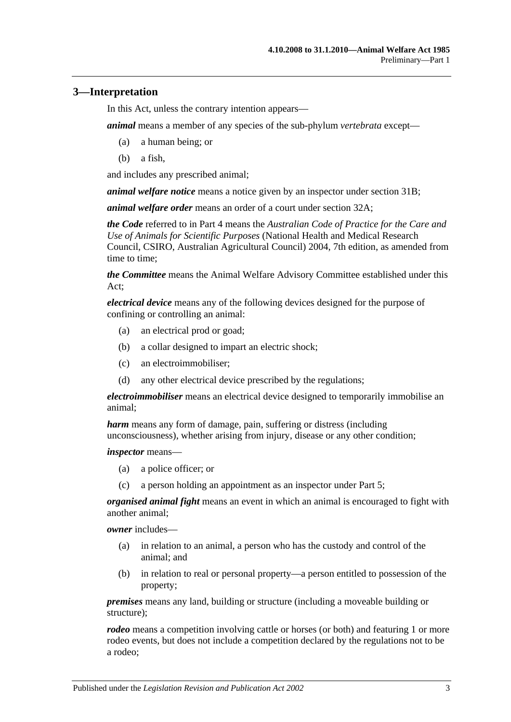## <span id="page-2-0"></span>**3—Interpretation**

In this Act, unless the contrary intention appears—

*animal* means a member of any species of the sub-phylum *vertebrata* except—

- (a) a human being; or
- (b) a fish,

and includes any prescribed animal;

*animal welfare notice* means a notice given by an inspector under [section](#page-17-0) 31B;

*animal welfare order* means an order of a court under [section](#page-19-2) 32A;

*the Code* referred to in [Part 4](#page-8-1) means the *Australian Code of Practice for the Care and Use of Animals for Scientific Purposes* (National Health and Medical Research Council, CSIRO, Australian Agricultural Council) 2004, 7th edition, as amended from time to time;

*the Committee* means the Animal Welfare Advisory Committee established under this Act;

*electrical device* means any of the following devices designed for the purpose of confining or controlling an animal:

- (a) an electrical prod or goad;
- (b) a collar designed to impart an electric shock;
- (c) an electroimmobiliser;
- (d) any other electrical device prescribed by the regulations;

*electroimmobiliser* means an electrical device designed to temporarily immobilise an animal;

*harm* means any form of damage, pain, suffering or distress (including unconsciousness), whether arising from injury, disease or any other condition;

*inspector* means—

- (a) a police officer; or
- (c) a person holding an appointment as an inspector under [Part 5;](#page-13-0)

*organised animal fight* means an event in which an animal is encouraged to fight with another animal;

*owner* includes—

- (a) in relation to an animal, a person who has the custody and control of the animal; and
- (b) in relation to real or personal property—a person entitled to possession of the property;

*premises* means any land, building or structure (including a moveable building or structure);

*rodeo* means a competition involving cattle or horses (or both) and featuring 1 or more rodeo events, but does not include a competition declared by the regulations not to be a rodeo;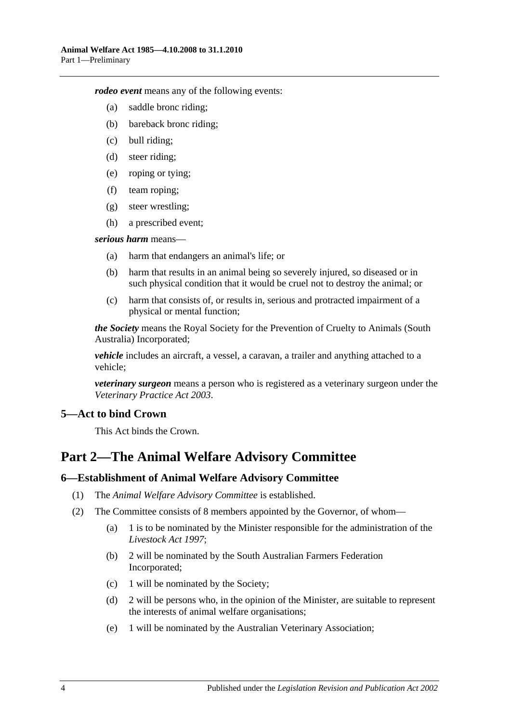*rodeo event* means any of the following events:

- (a) saddle bronc riding;
- (b) bareback bronc riding;
- (c) bull riding;
- (d) steer riding;
- (e) roping or tying;
- (f) team roping;
- (g) steer wrestling;
- (h) a prescribed event;

#### *serious harm* means—

- (a) harm that endangers an animal's life; or
- (b) harm that results in an animal being so severely injured, so diseased or in such physical condition that it would be cruel not to destroy the animal; or
- (c) harm that consists of, or results in, serious and protracted impairment of a physical or mental function;

*the Society* means the Royal Society for the Prevention of Cruelty to Animals (South Australia) Incorporated;

*vehicle* includes an aircraft, a vessel, a caravan, a trailer and anything attached to a vehicle;

*veterinary surgeon* means a person who is registered as a veterinary surgeon under the *[Veterinary Practice Act](http://www.legislation.sa.gov.au/index.aspx?action=legref&type=act&legtitle=Veterinary%20Practice%20Act%202003) 2003*.

# <span id="page-3-0"></span>**5—Act to bind Crown**

This Act binds the Crown.

# <span id="page-3-1"></span>**Part 2—The Animal Welfare Advisory Committee**

#### <span id="page-3-2"></span>**6—Establishment of Animal Welfare Advisory Committee**

- (1) The *Animal Welfare Advisory Committee* is established.
- (2) The Committee consists of 8 members appointed by the Governor, of whom—
	- (a) 1 is to be nominated by the Minister responsible for the administration of the *[Livestock Act](http://www.legislation.sa.gov.au/index.aspx?action=legref&type=act&legtitle=Livestock%20Act%201997) 1997*;
	- (b) 2 will be nominated by the South Australian Farmers Federation Incorporated;
	- (c) 1 will be nominated by the Society;
	- (d) 2 will be persons who, in the opinion of the Minister, are suitable to represent the interests of animal welfare organisations;
	- (e) 1 will be nominated by the Australian Veterinary Association;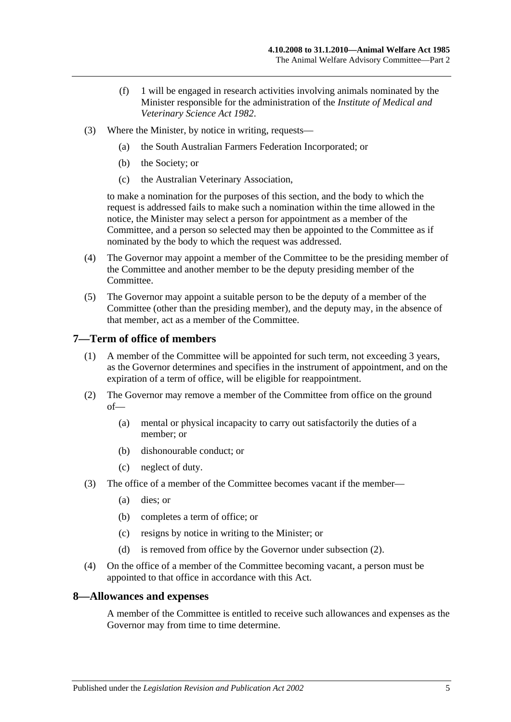- (f) 1 will be engaged in research activities involving animals nominated by the Minister responsible for the administration of the *[Institute of Medical and](http://www.legislation.sa.gov.au/index.aspx?action=legref&type=act&legtitle=Institute%20of%20Medical%20and%20Veterinary%20Science%20Act%201982)  [Veterinary Science Act](http://www.legislation.sa.gov.au/index.aspx?action=legref&type=act&legtitle=Institute%20of%20Medical%20and%20Veterinary%20Science%20Act%201982) 1982*.
- (3) Where the Minister, by notice in writing, requests—
	- (a) the South Australian Farmers Federation Incorporated; or
	- (b) the Society; or
	- (c) the Australian Veterinary Association,

to make a nomination for the purposes of this section, and the body to which the request is addressed fails to make such a nomination within the time allowed in the notice, the Minister may select a person for appointment as a member of the Committee, and a person so selected may then be appointed to the Committee as if nominated by the body to which the request was addressed.

- (4) The Governor may appoint a member of the Committee to be the presiding member of the Committee and another member to be the deputy presiding member of the Committee.
- (5) The Governor may appoint a suitable person to be the deputy of a member of the Committee (other than the presiding member), and the deputy may, in the absence of that member, act as a member of the Committee.

#### <span id="page-4-0"></span>**7—Term of office of members**

- (1) A member of the Committee will be appointed for such term, not exceeding 3 years, as the Governor determines and specifies in the instrument of appointment, and on the expiration of a term of office, will be eligible for reappointment.
- <span id="page-4-2"></span>(2) The Governor may remove a member of the Committee from office on the ground of—
	- (a) mental or physical incapacity to carry out satisfactorily the duties of a member; or
	- (b) dishonourable conduct; or
	- (c) neglect of duty.
- (3) The office of a member of the Committee becomes vacant if the member—
	- (a) dies; or
	- (b) completes a term of office; or
	- (c) resigns by notice in writing to the Minister; or
	- (d) is removed from office by the Governor under [subsection](#page-4-2) (2).
- (4) On the office of a member of the Committee becoming vacant, a person must be appointed to that office in accordance with this Act.

#### <span id="page-4-1"></span>**8—Allowances and expenses**

A member of the Committee is entitled to receive such allowances and expenses as the Governor may from time to time determine.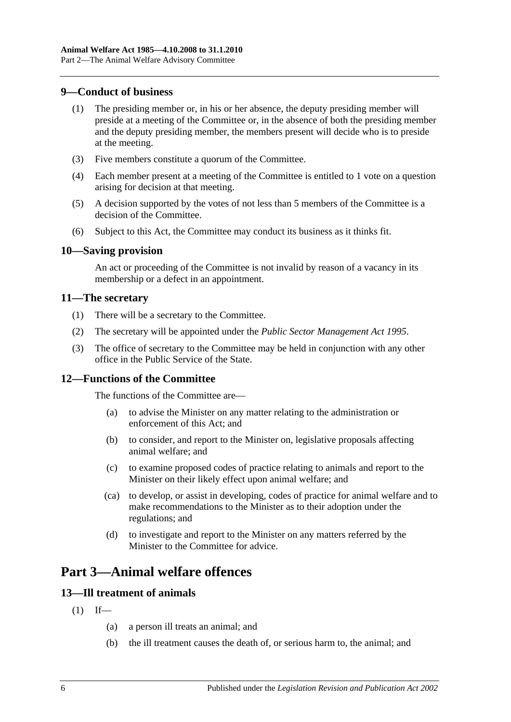#### <span id="page-5-0"></span>**9—Conduct of business**

- (1) The presiding member or, in his or her absence, the deputy presiding member will preside at a meeting of the Committee or, in the absence of both the presiding member and the deputy presiding member, the members present will decide who is to preside at the meeting.
- (3) Five members constitute a quorum of the Committee.
- (4) Each member present at a meeting of the Committee is entitled to 1 vote on a question arising for decision at that meeting.
- (5) A decision supported by the votes of not less than 5 members of the Committee is a decision of the Committee.
- (6) Subject to this Act, the Committee may conduct its business as it thinks fit.

#### <span id="page-5-1"></span>**10—Saving provision**

An act or proceeding of the Committee is not invalid by reason of a vacancy in its membership or a defect in an appointment.

### <span id="page-5-2"></span>**11—The secretary**

- (1) There will be a secretary to the Committee.
- (2) The secretary will be appointed under the *[Public Sector Management Act](http://www.legislation.sa.gov.au/index.aspx?action=legref&type=act&legtitle=Public%20Sector%20Management%20Act%201995) 1995*.
- (3) The office of secretary to the Committee may be held in conjunction with any other office in the Public Service of the State.

# <span id="page-5-3"></span>**12—Functions of the Committee**

The functions of the Committee are—

- (a) to advise the Minister on any matter relating to the administration or enforcement of this Act; and
- (b) to consider, and report to the Minister on, legislative proposals affecting animal welfare; and
- (c) to examine proposed codes of practice relating to animals and report to the Minister on their likely effect upon animal welfare; and
- (ca) to develop, or assist in developing, codes of practice for animal welfare and to make recommendations to the Minister as to their adoption under the regulations; and
- (d) to investigate and report to the Minister on any matters referred by the Minister to the Committee for advice.

# <span id="page-5-4"></span>**Part 3—Animal welfare offences**

# <span id="page-5-6"></span><span id="page-5-5"></span>**13—Ill treatment of animals**

- $(1)$  If—
	- (a) a person ill treats an animal; and
	- (b) the ill treatment causes the death of, or serious harm to, the animal; and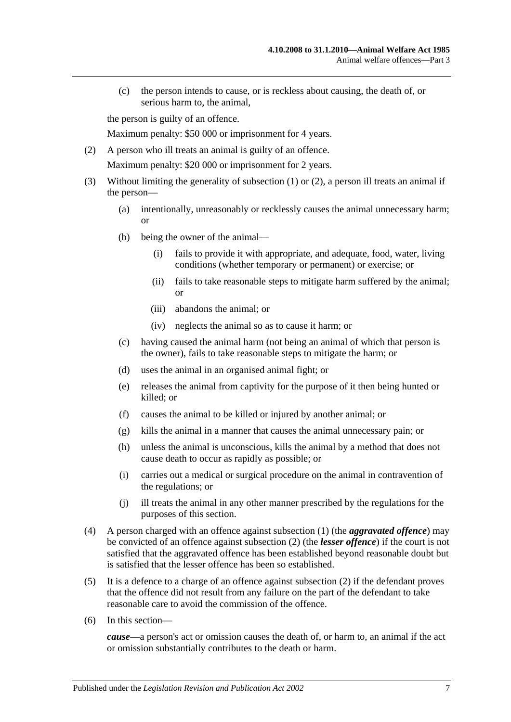(c) the person intends to cause, or is reckless about causing, the death of, or serious harm to, the animal,

the person is guilty of an offence.

Maximum penalty: \$50 000 or imprisonment for 4 years.

- <span id="page-6-0"></span>(2) A person who ill treats an animal is guilty of an offence. Maximum penalty: \$20 000 or imprisonment for 2 years.
- (3) Without limiting the generality of [subsection](#page-5-6) (1) or [\(2\),](#page-6-0) a person ill treats an animal if the person—
	- (a) intentionally, unreasonably or recklessly causes the animal unnecessary harm; or
	- (b) being the owner of the animal—
		- (i) fails to provide it with appropriate, and adequate, food, water, living conditions (whether temporary or permanent) or exercise; or
		- (ii) fails to take reasonable steps to mitigate harm suffered by the animal; or
		- (iii) abandons the animal; or
		- (iv) neglects the animal so as to cause it harm; or
	- (c) having caused the animal harm (not being an animal of which that person is the owner), fails to take reasonable steps to mitigate the harm; or
	- (d) uses the animal in an organised animal fight; or
	- (e) releases the animal from captivity for the purpose of it then being hunted or killed; or
	- (f) causes the animal to be killed or injured by another animal; or
	- (g) kills the animal in a manner that causes the animal unnecessary pain; or
	- (h) unless the animal is unconscious, kills the animal by a method that does not cause death to occur as rapidly as possible; or
	- (i) carries out a medical or surgical procedure on the animal in contravention of the regulations; or
	- (j) ill treats the animal in any other manner prescribed by the regulations for the purposes of this section.
- (4) A person charged with an offence against [subsection](#page-5-6) (1) (the *aggravated offence*) may be convicted of an offence against [subsection](#page-6-0) (2) (the *lesser offence*) if the court is not satisfied that the aggravated offence has been established beyond reasonable doubt but is satisfied that the lesser offence has been so established.
- (5) It is a defence to a charge of an offence against [subsection](#page-6-0) (2) if the defendant proves that the offence did not result from any failure on the part of the defendant to take reasonable care to avoid the commission of the offence.
- (6) In this section—

*cause*—a person's act or omission causes the death of, or harm to, an animal if the act or omission substantially contributes to the death or harm.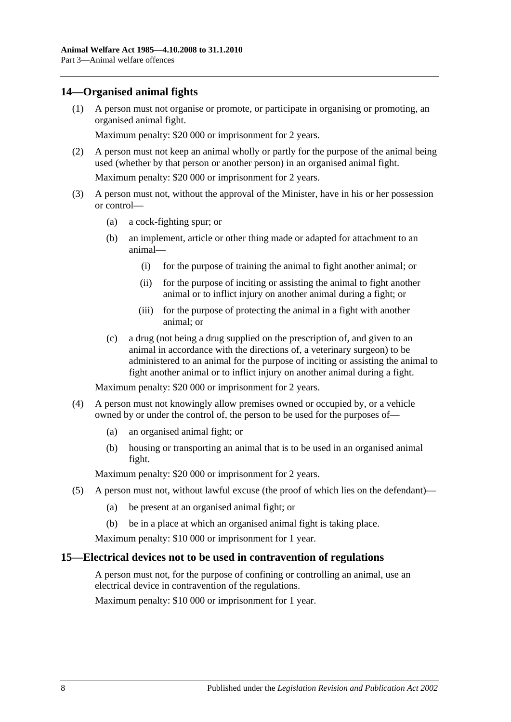# <span id="page-7-0"></span>**14—Organised animal fights**

(1) A person must not organise or promote, or participate in organising or promoting, an organised animal fight.

Maximum penalty: \$20 000 or imprisonment for 2 years.

(2) A person must not keep an animal wholly or partly for the purpose of the animal being used (whether by that person or another person) in an organised animal fight.

Maximum penalty: \$20 000 or imprisonment for 2 years.

- (3) A person must not, without the approval of the Minister, have in his or her possession or control—
	- (a) a cock-fighting spur; or
	- (b) an implement, article or other thing made or adapted for attachment to an animal—
		- (i) for the purpose of training the animal to fight another animal; or
		- (ii) for the purpose of inciting or assisting the animal to fight another animal or to inflict injury on another animal during a fight; or
		- (iii) for the purpose of protecting the animal in a fight with another animal; or
	- (c) a drug (not being a drug supplied on the prescription of, and given to an animal in accordance with the directions of, a veterinary surgeon) to be administered to an animal for the purpose of inciting or assisting the animal to fight another animal or to inflict injury on another animal during a fight.

Maximum penalty: \$20 000 or imprisonment for 2 years.

- (4) A person must not knowingly allow premises owned or occupied by, or a vehicle owned by or under the control of, the person to be used for the purposes of—
	- (a) an organised animal fight; or
	- (b) housing or transporting an animal that is to be used in an organised animal fight.

Maximum penalty: \$20 000 or imprisonment for 2 years.

- (5) A person must not, without lawful excuse (the proof of which lies on the defendant)—
	- (a) be present at an organised animal fight; or
	- (b) be in a place at which an organised animal fight is taking place.

Maximum penalty: \$10 000 or imprisonment for 1 year.

#### <span id="page-7-1"></span>**15—Electrical devices not to be used in contravention of regulations**

A person must not, for the purpose of confining or controlling an animal, use an electrical device in contravention of the regulations.

Maximum penalty: \$10 000 or imprisonment for 1 year.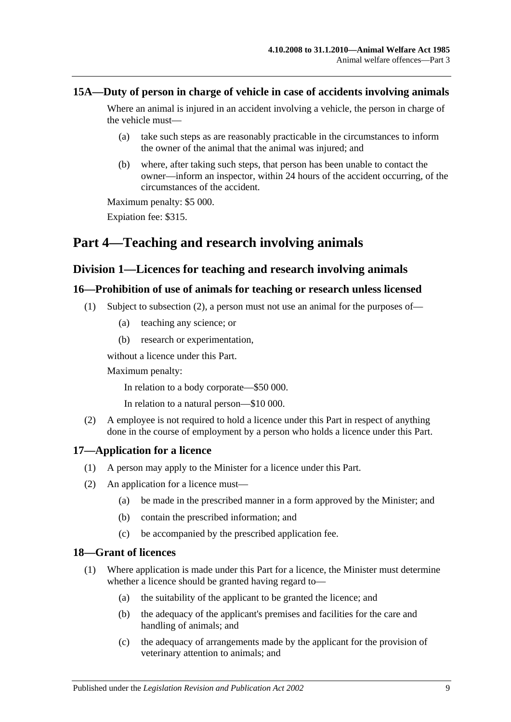## <span id="page-8-0"></span>**15A—Duty of person in charge of vehicle in case of accidents involving animals**

Where an animal is injured in an accident involving a vehicle, the person in charge of the vehicle must—

- (a) take such steps as are reasonably practicable in the circumstances to inform the owner of the animal that the animal was injured; and
- (b) where, after taking such steps, that person has been unable to contact the owner—inform an inspector, within 24 hours of the accident occurring, of the circumstances of the accident.

Maximum penalty: \$5 000.

Expiation fee: \$315.

# <span id="page-8-1"></span>**Part 4—Teaching and research involving animals**

# <span id="page-8-2"></span>**Division 1—Licences for teaching and research involving animals**

#### <span id="page-8-3"></span>**16—Prohibition of use of animals for teaching or research unless licensed**

- (1) Subject to [subsection](#page-8-6) (2), a person must not use an animal for the purposes of—
	- (a) teaching any science; or
	- (b) research or experimentation,

without a licence under this Part.

Maximum penalty:

In relation to a body corporate—\$50 000.

In relation to a natural person—\$10 000.

<span id="page-8-6"></span>(2) A employee is not required to hold a licence under this Part in respect of anything done in the course of employment by a person who holds a licence under this Part.

# <span id="page-8-4"></span>**17—Application for a licence**

- (1) A person may apply to the Minister for a licence under this Part.
- (2) An application for a licence must—
	- (a) be made in the prescribed manner in a form approved by the Minister; and
	- (b) contain the prescribed information; and
	- (c) be accompanied by the prescribed application fee.

#### <span id="page-8-5"></span>**18—Grant of licences**

- (1) Where application is made under this Part for a licence, the Minister must determine whether a licence should be granted having regard to—
	- (a) the suitability of the applicant to be granted the licence; and
	- (b) the adequacy of the applicant's premises and facilities for the care and handling of animals; and
	- (c) the adequacy of arrangements made by the applicant for the provision of veterinary attention to animals; and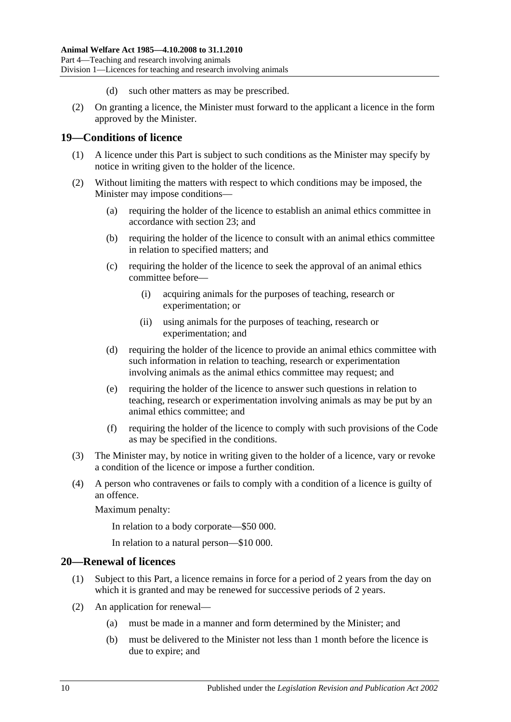- (d) such other matters as may be prescribed.
- (2) On granting a licence, the Minister must forward to the applicant a licence in the form approved by the Minister.

#### <span id="page-9-0"></span>**19—Conditions of licence**

- (1) A licence under this Part is subject to such conditions as the Minister may specify by notice in writing given to the holder of the licence.
- (2) Without limiting the matters with respect to which conditions may be imposed, the Minister may impose conditions—
	- (a) requiring the holder of the licence to establish an animal ethics committee in accordance with [section](#page-10-3) 23; and
	- (b) requiring the holder of the licence to consult with an animal ethics committee in relation to specified matters; and
	- (c) requiring the holder of the licence to seek the approval of an animal ethics committee before—
		- (i) acquiring animals for the purposes of teaching, research or experimentation; or
		- (ii) using animals for the purposes of teaching, research or experimentation; and
	- (d) requiring the holder of the licence to provide an animal ethics committee with such information in relation to teaching, research or experimentation involving animals as the animal ethics committee may request; and
	- (e) requiring the holder of the licence to answer such questions in relation to teaching, research or experimentation involving animals as may be put by an animal ethics committee; and
	- (f) requiring the holder of the licence to comply with such provisions of the Code as may be specified in the conditions.
- (3) The Minister may, by notice in writing given to the holder of a licence, vary or revoke a condition of the licence or impose a further condition.
- (4) A person who contravenes or fails to comply with a condition of a licence is guilty of an offence.

Maximum penalty:

In relation to a body corporate—\$50 000.

In relation to a natural person—\$10 000.

## <span id="page-9-1"></span>**20—Renewal of licences**

- (1) Subject to this Part, a licence remains in force for a period of 2 years from the day on which it is granted and may be renewed for successive periods of 2 years.
- (2) An application for renewal—
	- (a) must be made in a manner and form determined by the Minister; and
	- (b) must be delivered to the Minister not less than 1 month before the licence is due to expire; and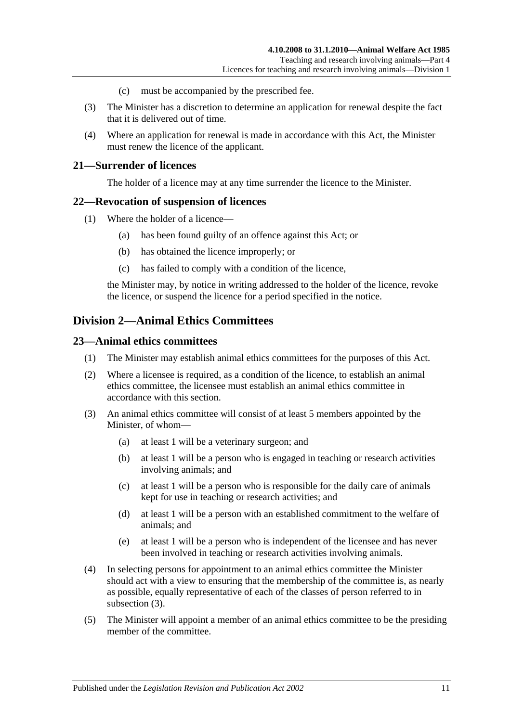- (c) must be accompanied by the prescribed fee.
- (3) The Minister has a discretion to determine an application for renewal despite the fact that it is delivered out of time.
- (4) Where an application for renewal is made in accordance with this Act, the Minister must renew the licence of the applicant.

#### <span id="page-10-0"></span>**21—Surrender of licences**

The holder of a licence may at any time surrender the licence to the Minister.

#### <span id="page-10-1"></span>**22—Revocation of suspension of licences**

- (1) Where the holder of a licence—
	- (a) has been found guilty of an offence against this Act; or
	- (b) has obtained the licence improperly; or
	- (c) has failed to comply with a condition of the licence,

the Minister may, by notice in writing addressed to the holder of the licence, revoke the licence, or suspend the licence for a period specified in the notice.

# <span id="page-10-2"></span>**Division 2—Animal Ethics Committees**

#### <span id="page-10-3"></span>**23—Animal ethics committees**

- (1) The Minister may establish animal ethics committees for the purposes of this Act.
- (2) Where a licensee is required, as a condition of the licence, to establish an animal ethics committee, the licensee must establish an animal ethics committee in accordance with this section.
- <span id="page-10-4"></span>(3) An animal ethics committee will consist of at least 5 members appointed by the Minister, of whom—
	- (a) at least 1 will be a veterinary surgeon; and
	- (b) at least 1 will be a person who is engaged in teaching or research activities involving animals; and
	- (c) at least 1 will be a person who is responsible for the daily care of animals kept for use in teaching or research activities; and
	- (d) at least 1 will be a person with an established commitment to the welfare of animals; and
	- (e) at least 1 will be a person who is independent of the licensee and has never been involved in teaching or research activities involving animals.
- (4) In selecting persons for appointment to an animal ethics committee the Minister should act with a view to ensuring that the membership of the committee is, as nearly as possible, equally representative of each of the classes of person referred to in [subsection](#page-10-4) (3).
- (5) The Minister will appoint a member of an animal ethics committee to be the presiding member of the committee.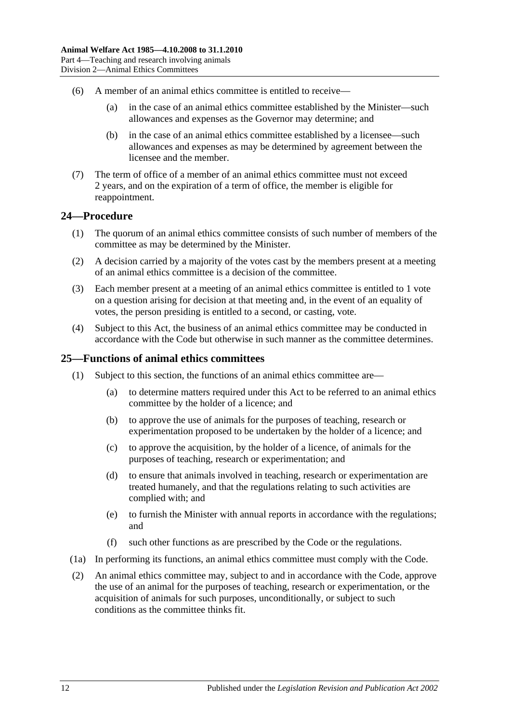- (6) A member of an animal ethics committee is entitled to receive—
	- (a) in the case of an animal ethics committee established by the Minister—such allowances and expenses as the Governor may determine; and
	- (b) in the case of an animal ethics committee established by a licensee—such allowances and expenses as may be determined by agreement between the licensee and the member.
- (7) The term of office of a member of an animal ethics committee must not exceed 2 years, and on the expiration of a term of office, the member is eligible for reappointment.

#### <span id="page-11-0"></span>**24—Procedure**

- (1) The quorum of an animal ethics committee consists of such number of members of the committee as may be determined by the Minister.
- (2) A decision carried by a majority of the votes cast by the members present at a meeting of an animal ethics committee is a decision of the committee.
- (3) Each member present at a meeting of an animal ethics committee is entitled to 1 vote on a question arising for decision at that meeting and, in the event of an equality of votes, the person presiding is entitled to a second, or casting, vote.
- (4) Subject to this Act, the business of an animal ethics committee may be conducted in accordance with the Code but otherwise in such manner as the committee determines.

#### <span id="page-11-1"></span>**25—Functions of animal ethics committees**

- (1) Subject to this section, the functions of an animal ethics committee are—
	- (a) to determine matters required under this Act to be referred to an animal ethics committee by the holder of a licence; and
	- (b) to approve the use of animals for the purposes of teaching, research or experimentation proposed to be undertaken by the holder of a licence; and
	- (c) to approve the acquisition, by the holder of a licence, of animals for the purposes of teaching, research or experimentation; and
	- (d) to ensure that animals involved in teaching, research or experimentation are treated humanely, and that the regulations relating to such activities are complied with; and
	- (e) to furnish the Minister with annual reports in accordance with the regulations; and
	- (f) such other functions as are prescribed by the Code or the regulations.
- (1a) In performing its functions, an animal ethics committee must comply with the Code.
- (2) An animal ethics committee may, subject to and in accordance with the Code, approve the use of an animal for the purposes of teaching, research or experimentation, or the acquisition of animals for such purposes, unconditionally, or subject to such conditions as the committee thinks fit.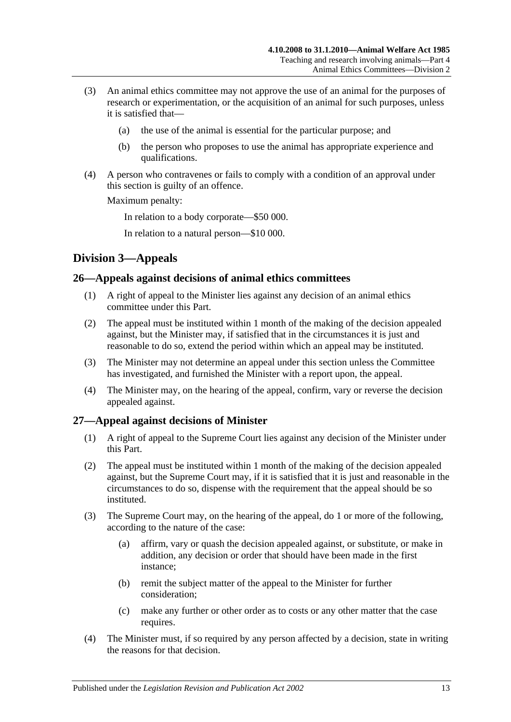- (3) An animal ethics committee may not approve the use of an animal for the purposes of research or experimentation, or the acquisition of an animal for such purposes, unless it is satisfied that—
	- (a) the use of the animal is essential for the particular purpose; and
	- (b) the person who proposes to use the animal has appropriate experience and qualifications.
- (4) A person who contravenes or fails to comply with a condition of an approval under this section is guilty of an offence.

Maximum penalty:

In relation to a body corporate—\$50 000.

In relation to a natural person—\$10 000.

# <span id="page-12-0"></span>**Division 3—Appeals**

# <span id="page-12-1"></span>**26—Appeals against decisions of animal ethics committees**

- (1) A right of appeal to the Minister lies against any decision of an animal ethics committee under this Part.
- (2) The appeal must be instituted within 1 month of the making of the decision appealed against, but the Minister may, if satisfied that in the circumstances it is just and reasonable to do so, extend the period within which an appeal may be instituted.
- (3) The Minister may not determine an appeal under this section unless the Committee has investigated, and furnished the Minister with a report upon, the appeal.
- (4) The Minister may, on the hearing of the appeal, confirm, vary or reverse the decision appealed against.

# <span id="page-12-2"></span>**27—Appeal against decisions of Minister**

- (1) A right of appeal to the Supreme Court lies against any decision of the Minister under this Part.
- (2) The appeal must be instituted within 1 month of the making of the decision appealed against, but the Supreme Court may, if it is satisfied that it is just and reasonable in the circumstances to do so, dispense with the requirement that the appeal should be so instituted.
- (3) The Supreme Court may, on the hearing of the appeal, do 1 or more of the following, according to the nature of the case:
	- (a) affirm, vary or quash the decision appealed against, or substitute, or make in addition, any decision or order that should have been made in the first instance;
	- (b) remit the subject matter of the appeal to the Minister for further consideration;
	- (c) make any further or other order as to costs or any other matter that the case requires.
- (4) The Minister must, if so required by any person affected by a decision, state in writing the reasons for that decision.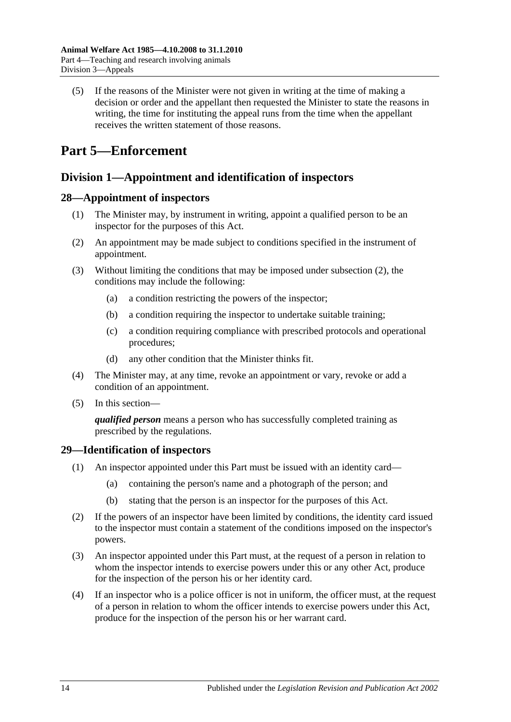(5) If the reasons of the Minister were not given in writing at the time of making a decision or order and the appellant then requested the Minister to state the reasons in writing, the time for instituting the appeal runs from the time when the appellant receives the written statement of those reasons.

# <span id="page-13-0"></span>**Part 5—Enforcement**

# <span id="page-13-1"></span>**Division 1—Appointment and identification of inspectors**

# <span id="page-13-2"></span>**28—Appointment of inspectors**

- (1) The Minister may, by instrument in writing, appoint a qualified person to be an inspector for the purposes of this Act.
- <span id="page-13-4"></span>(2) An appointment may be made subject to conditions specified in the instrument of appointment.
- (3) Without limiting the conditions that may be imposed under [subsection](#page-13-4) (2), the conditions may include the following:
	- (a) a condition restricting the powers of the inspector;
	- (b) a condition requiring the inspector to undertake suitable training;
	- (c) a condition requiring compliance with prescribed protocols and operational procedures;
	- (d) any other condition that the Minister thinks fit.
- (4) The Minister may, at any time, revoke an appointment or vary, revoke or add a condition of an appointment.
- (5) In this section—

*qualified person* means a person who has successfully completed training as prescribed by the regulations.

# <span id="page-13-3"></span>**29—Identification of inspectors**

- (1) An inspector appointed under this Part must be issued with an identity card—
	- (a) containing the person's name and a photograph of the person; and
	- (b) stating that the person is an inspector for the purposes of this Act.
- (2) If the powers of an inspector have been limited by conditions, the identity card issued to the inspector must contain a statement of the conditions imposed on the inspector's powers.
- (3) An inspector appointed under this Part must, at the request of a person in relation to whom the inspector intends to exercise powers under this or any other Act, produce for the inspection of the person his or her identity card.
- (4) If an inspector who is a police officer is not in uniform, the officer must, at the request of a person in relation to whom the officer intends to exercise powers under this Act, produce for the inspection of the person his or her warrant card.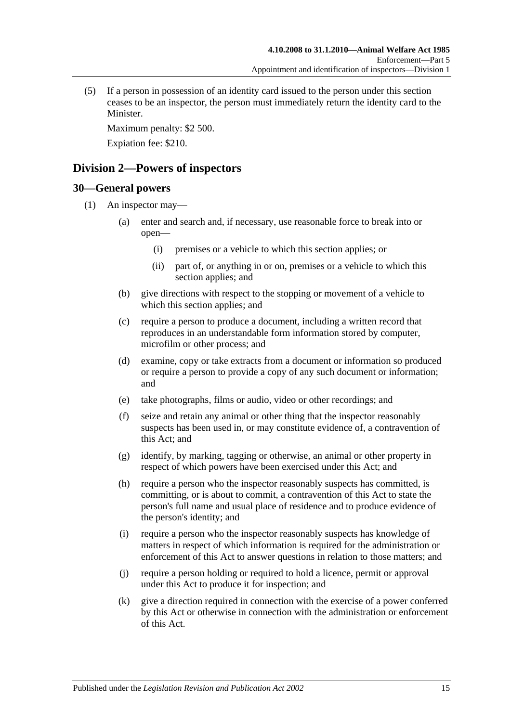(5) If a person in possession of an identity card issued to the person under this section ceases to be an inspector, the person must immediately return the identity card to the Minister.

Maximum penalty: \$2 500.

Expiation fee: \$210.

# <span id="page-14-0"></span>**Division 2—Powers of inspectors**

# <span id="page-14-2"></span><span id="page-14-1"></span>**30—General powers**

- <span id="page-14-3"></span>(1) An inspector may—
	- (a) enter and search and, if necessary, use reasonable force to break into or open—
		- (i) premises or a vehicle to which this section applies; or
		- (ii) part of, or anything in or on, premises or a vehicle to which this section applies; and
	- (b) give directions with respect to the stopping or movement of a vehicle to which this section applies; and
	- (c) require a person to produce a document, including a written record that reproduces in an understandable form information stored by computer, microfilm or other process; and
	- (d) examine, copy or take extracts from a document or information so produced or require a person to provide a copy of any such document or information; and
	- (e) take photographs, films or audio, video or other recordings; and
	- (f) seize and retain any animal or other thing that the inspector reasonably suspects has been used in, or may constitute evidence of, a contravention of this Act; and
	- (g) identify, by marking, tagging or otherwise, an animal or other property in respect of which powers have been exercised under this Act; and
	- (h) require a person who the inspector reasonably suspects has committed, is committing, or is about to commit, a contravention of this Act to state the person's full name and usual place of residence and to produce evidence of the person's identity; and
	- (i) require a person who the inspector reasonably suspects has knowledge of matters in respect of which information is required for the administration or enforcement of this Act to answer questions in relation to those matters; and
	- (j) require a person holding or required to hold a licence, permit or approval under this Act to produce it for inspection; and
	- (k) give a direction required in connection with the exercise of a power conferred by this Act or otherwise in connection with the administration or enforcement of this Act.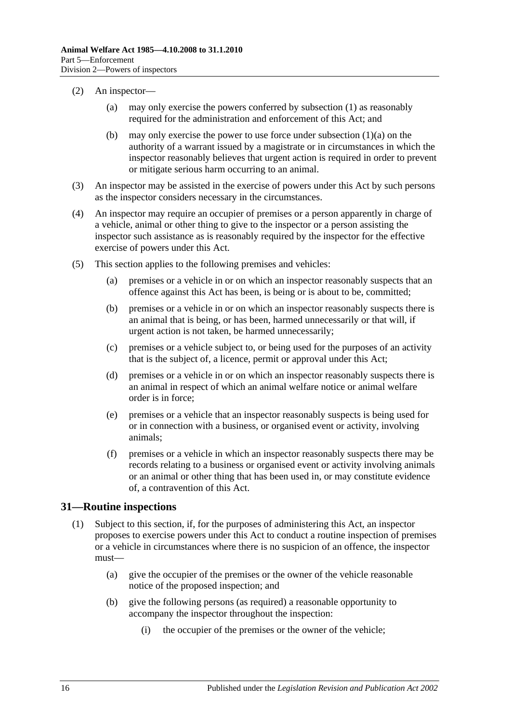- (2) An inspector—
	- (a) may only exercise the powers conferred by [subsection](#page-14-2) (1) as reasonably required for the administration and enforcement of this Act; and
	- (b) may only exercise the power to use force under [subsection](#page-14-3)  $(1)(a)$  on the authority of a warrant issued by a magistrate or in circumstances in which the inspector reasonably believes that urgent action is required in order to prevent or mitigate serious harm occurring to an animal.
- (3) An inspector may be assisted in the exercise of powers under this Act by such persons as the inspector considers necessary in the circumstances.
- (4) An inspector may require an occupier of premises or a person apparently in charge of a vehicle, animal or other thing to give to the inspector or a person assisting the inspector such assistance as is reasonably required by the inspector for the effective exercise of powers under this Act.
- (5) This section applies to the following premises and vehicles:
	- (a) premises or a vehicle in or on which an inspector reasonably suspects that an offence against this Act has been, is being or is about to be, committed;
	- (b) premises or a vehicle in or on which an inspector reasonably suspects there is an animal that is being, or has been, harmed unnecessarily or that will, if urgent action is not taken, be harmed unnecessarily;
	- (c) premises or a vehicle subject to, or being used for the purposes of an activity that is the subject of, a licence, permit or approval under this Act;
	- (d) premises or a vehicle in or on which an inspector reasonably suspects there is an animal in respect of which an animal welfare notice or animal welfare order is in force;
	- (e) premises or a vehicle that an inspector reasonably suspects is being used for or in connection with a business, or organised event or activity, involving animals;
	- (f) premises or a vehicle in which an inspector reasonably suspects there may be records relating to a business or organised event or activity involving animals or an animal or other thing that has been used in, or may constitute evidence of, a contravention of this Act.

# <span id="page-15-0"></span>**31—Routine inspections**

- (1) Subject to this section, if, for the purposes of administering this Act, an inspector proposes to exercise powers under this Act to conduct a routine inspection of premises or a vehicle in circumstances where there is no suspicion of an offence, the inspector must—
	- (a) give the occupier of the premises or the owner of the vehicle reasonable notice of the proposed inspection; and
	- (b) give the following persons (as required) a reasonable opportunity to accompany the inspector throughout the inspection:
		- (i) the occupier of the premises or the owner of the vehicle;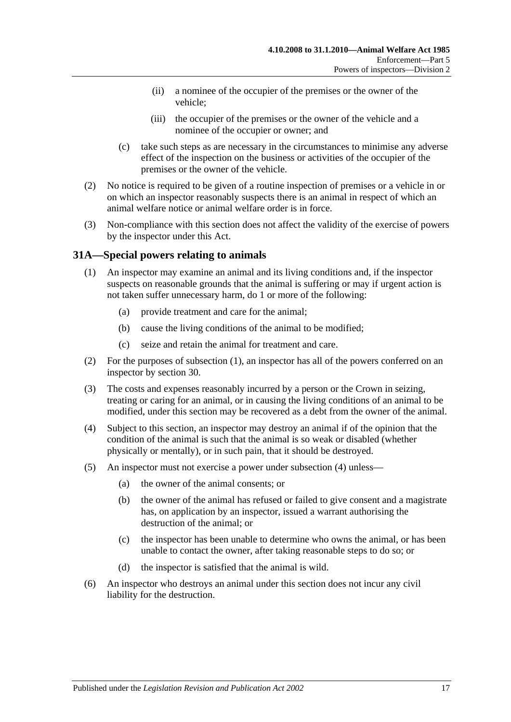- (ii) a nominee of the occupier of the premises or the owner of the vehicle;
- (iii) the occupier of the premises or the owner of the vehicle and a nominee of the occupier or owner; and
- (c) take such steps as are necessary in the circumstances to minimise any adverse effect of the inspection on the business or activities of the occupier of the premises or the owner of the vehicle.
- (2) No notice is required to be given of a routine inspection of premises or a vehicle in or on which an inspector reasonably suspects there is an animal in respect of which an animal welfare notice or animal welfare order is in force.
- (3) Non-compliance with this section does not affect the validity of the exercise of powers by the inspector under this Act.

# <span id="page-16-1"></span><span id="page-16-0"></span>**31A—Special powers relating to animals**

- (1) An inspector may examine an animal and its living conditions and, if the inspector suspects on reasonable grounds that the animal is suffering or may if urgent action is not taken suffer unnecessary harm, do 1 or more of the following:
	- (a) provide treatment and care for the animal;
	- (b) cause the living conditions of the animal to be modified;
	- (c) seize and retain the animal for treatment and care.
- (2) For the purposes of [subsection](#page-16-1) (1), an inspector has all of the powers conferred on an inspector by [section](#page-14-1) 30.
- (3) The costs and expenses reasonably incurred by a person or the Crown in seizing, treating or caring for an animal, or in causing the living conditions of an animal to be modified, under this section may be recovered as a debt from the owner of the animal.
- <span id="page-16-2"></span>(4) Subject to this section, an inspector may destroy an animal if of the opinion that the condition of the animal is such that the animal is so weak or disabled (whether physically or mentally), or in such pain, that it should be destroyed.
- (5) An inspector must not exercise a power under [subsection](#page-16-2) (4) unless—
	- (a) the owner of the animal consents; or
	- (b) the owner of the animal has refused or failed to give consent and a magistrate has, on application by an inspector, issued a warrant authorising the destruction of the animal; or
	- (c) the inspector has been unable to determine who owns the animal, or has been unable to contact the owner, after taking reasonable steps to do so; or
	- (d) the inspector is satisfied that the animal is wild.
- (6) An inspector who destroys an animal under this section does not incur any civil liability for the destruction.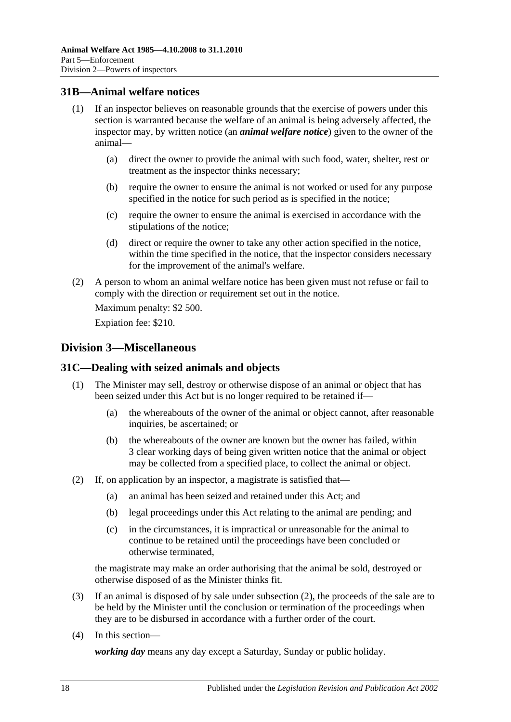# <span id="page-17-0"></span>**31B—Animal welfare notices**

- (1) If an inspector believes on reasonable grounds that the exercise of powers under this section is warranted because the welfare of an animal is being adversely affected, the inspector may, by written notice (an *animal welfare notice*) given to the owner of the animal—
	- (a) direct the owner to provide the animal with such food, water, shelter, rest or treatment as the inspector thinks necessary;
	- (b) require the owner to ensure the animal is not worked or used for any purpose specified in the notice for such period as is specified in the notice;
	- (c) require the owner to ensure the animal is exercised in accordance with the stipulations of the notice;
	- (d) direct or require the owner to take any other action specified in the notice, within the time specified in the notice, that the inspector considers necessary for the improvement of the animal's welfare.
- (2) A person to whom an animal welfare notice has been given must not refuse or fail to comply with the direction or requirement set out in the notice.

Maximum penalty: \$2 500.

Expiation fee: \$210.

# <span id="page-17-1"></span>**Division 3—Miscellaneous**

#### <span id="page-17-2"></span>**31C—Dealing with seized animals and objects**

- (1) The Minister may sell, destroy or otherwise dispose of an animal or object that has been seized under this Act but is no longer required to be retained if—
	- (a) the whereabouts of the owner of the animal or object cannot, after reasonable inquiries, be ascertained; or
	- (b) the whereabouts of the owner are known but the owner has failed, within 3 clear working days of being given written notice that the animal or object may be collected from a specified place, to collect the animal or object.
- <span id="page-17-3"></span>(2) If, on application by an inspector, a magistrate is satisfied that—
	- (a) an animal has been seized and retained under this Act; and
	- (b) legal proceedings under this Act relating to the animal are pending; and
	- (c) in the circumstances, it is impractical or unreasonable for the animal to continue to be retained until the proceedings have been concluded or otherwise terminated,

the magistrate may make an order authorising that the animal be sold, destroyed or otherwise disposed of as the Minister thinks fit.

- (3) If an animal is disposed of by sale under [subsection](#page-17-3) (2), the proceeds of the sale are to be held by the Minister until the conclusion or termination of the proceedings when they are to be disbursed in accordance with a further order of the court.
- (4) In this section—

*working day* means any day except a Saturday, Sunday or public holiday.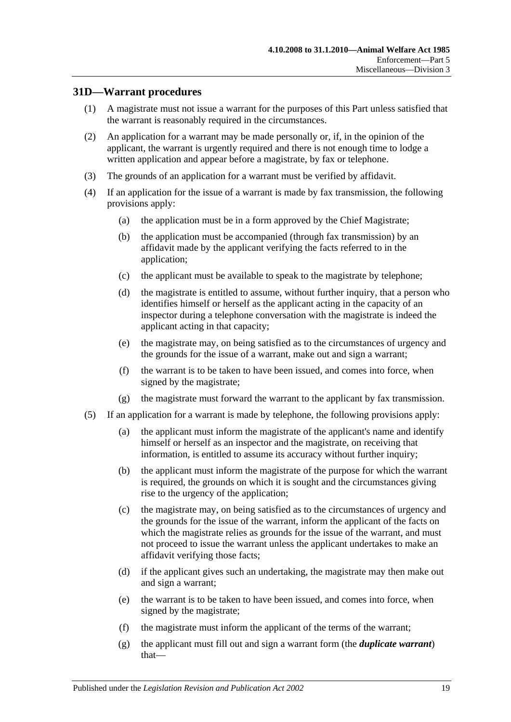# <span id="page-18-0"></span>**31D—Warrant procedures**

- (1) A magistrate must not issue a warrant for the purposes of this Part unless satisfied that the warrant is reasonably required in the circumstances.
- (2) An application for a warrant may be made personally or, if, in the opinion of the applicant, the warrant is urgently required and there is not enough time to lodge a written application and appear before a magistrate, by fax or telephone.
- (3) The grounds of an application for a warrant must be verified by affidavit.
- (4) If an application for the issue of a warrant is made by fax transmission, the following provisions apply:
	- (a) the application must be in a form approved by the Chief Magistrate;
	- (b) the application must be accompanied (through fax transmission) by an affidavit made by the applicant verifying the facts referred to in the application;
	- (c) the applicant must be available to speak to the magistrate by telephone;
	- (d) the magistrate is entitled to assume, without further inquiry, that a person who identifies himself or herself as the applicant acting in the capacity of an inspector during a telephone conversation with the magistrate is indeed the applicant acting in that capacity;
	- (e) the magistrate may, on being satisfied as to the circumstances of urgency and the grounds for the issue of a warrant, make out and sign a warrant;
	- (f) the warrant is to be taken to have been issued, and comes into force, when signed by the magistrate;
	- (g) the magistrate must forward the warrant to the applicant by fax transmission.
- <span id="page-18-1"></span>(5) If an application for a warrant is made by telephone, the following provisions apply:
	- (a) the applicant must inform the magistrate of the applicant's name and identify himself or herself as an inspector and the magistrate, on receiving that information, is entitled to assume its accuracy without further inquiry;
	- (b) the applicant must inform the magistrate of the purpose for which the warrant is required, the grounds on which it is sought and the circumstances giving rise to the urgency of the application;
	- (c) the magistrate may, on being satisfied as to the circumstances of urgency and the grounds for the issue of the warrant, inform the applicant of the facts on which the magistrate relies as grounds for the issue of the warrant, and must not proceed to issue the warrant unless the applicant undertakes to make an affidavit verifying those facts;
	- (d) if the applicant gives such an undertaking, the magistrate may then make out and sign a warrant;
	- (e) the warrant is to be taken to have been issued, and comes into force, when signed by the magistrate;
	- (f) the magistrate must inform the applicant of the terms of the warrant;
	- (g) the applicant must fill out and sign a warrant form (the *duplicate warrant*) that—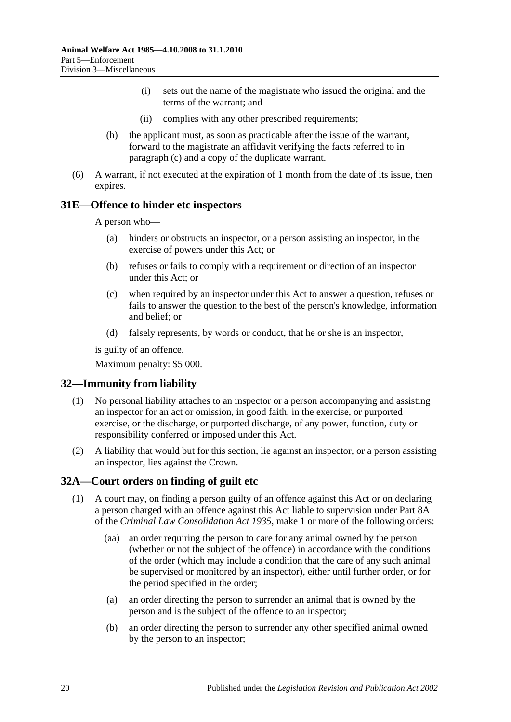- (i) sets out the name of the magistrate who issued the original and the terms of the warrant; and
- (ii) complies with any other prescribed requirements;
- (h) the applicant must, as soon as practicable after the issue of the warrant, forward to the magistrate an affidavit verifying the facts referred to in [paragraph](#page-18-1) (c) and a copy of the duplicate warrant.
- (6) A warrant, if not executed at the expiration of 1 month from the date of its issue, then expires.

#### <span id="page-19-0"></span>**31E—Offence to hinder etc inspectors**

A person who—

- (a) hinders or obstructs an inspector, or a person assisting an inspector, in the exercise of powers under this Act; or
- (b) refuses or fails to comply with a requirement or direction of an inspector under this Act; or
- (c) when required by an inspector under this Act to answer a question, refuses or fails to answer the question to the best of the person's knowledge, information and belief; or
- (d) falsely represents, by words or conduct, that he or she is an inspector,

is guilty of an offence.

Maximum penalty: \$5 000.

# <span id="page-19-1"></span>**32—Immunity from liability**

- (1) No personal liability attaches to an inspector or a person accompanying and assisting an inspector for an act or omission, in good faith, in the exercise, or purported exercise, or the discharge, or purported discharge, of any power, function, duty or responsibility conferred or imposed under this Act.
- (2) A liability that would but for this section, lie against an inspector, or a person assisting an inspector, lies against the Crown.

#### <span id="page-19-3"></span><span id="page-19-2"></span>**32A—Court orders on finding of guilt etc**

- (1) A court may, on finding a person guilty of an offence against this Act or on declaring a person charged with an offence against this Act liable to supervision under Part 8A of the *[Criminal Law Consolidation Act](http://www.legislation.sa.gov.au/index.aspx?action=legref&type=act&legtitle=Criminal%20Law%20Consolidation%20Act%201935) 1935*, make 1 or more of the following orders:
	- (aa) an order requiring the person to care for any animal owned by the person (whether or not the subject of the offence) in accordance with the conditions of the order (which may include a condition that the care of any such animal be supervised or monitored by an inspector), either until further order, or for the period specified in the order;
	- (a) an order directing the person to surrender an animal that is owned by the person and is the subject of the offence to an inspector;
	- (b) an order directing the person to surrender any other specified animal owned by the person to an inspector;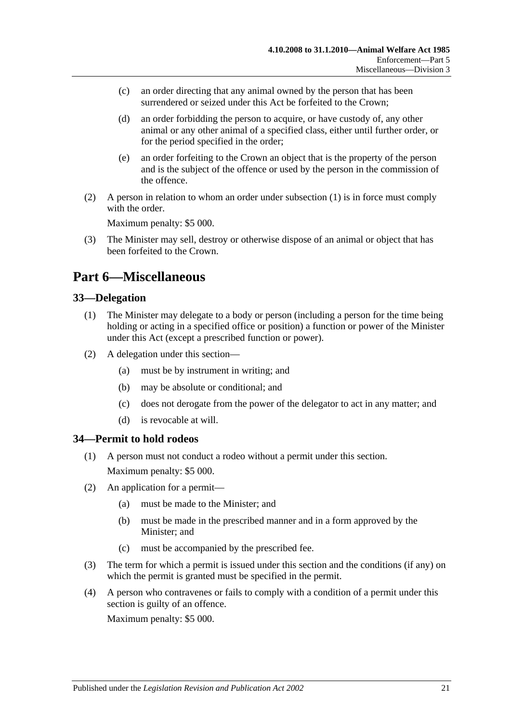- (c) an order directing that any animal owned by the person that has been surrendered or seized under this Act be forfeited to the Crown:
- (d) an order forbidding the person to acquire, or have custody of, any other animal or any other animal of a specified class, either until further order, or for the period specified in the order;
- (e) an order forfeiting to the Crown an object that is the property of the person and is the subject of the offence or used by the person in the commission of the offence.
- (2) A person in relation to whom an order under [subsection](#page-19-3) (1) is in force must comply with the order.

Maximum penalty: \$5 000.

(3) The Minister may sell, destroy or otherwise dispose of an animal or object that has been forfeited to the Crown.

# <span id="page-20-0"></span>**Part 6—Miscellaneous**

# <span id="page-20-1"></span>**33—Delegation**

- (1) The Minister may delegate to a body or person (including a person for the time being holding or acting in a specified office or position) a function or power of the Minister under this Act (except a prescribed function or power).
- (2) A delegation under this section—
	- (a) must be by instrument in writing; and
	- (b) may be absolute or conditional; and
	- (c) does not derogate from the power of the delegator to act in any matter; and
	- (d) is revocable at will.

#### <span id="page-20-2"></span>**34—Permit to hold rodeos**

- (1) A person must not conduct a rodeo without a permit under this section. Maximum penalty: \$5 000.
- (2) An application for a permit—
	- (a) must be made to the Minister; and
	- (b) must be made in the prescribed manner and in a form approved by the Minister; and
	- (c) must be accompanied by the prescribed fee.
- (3) The term for which a permit is issued under this section and the conditions (if any) on which the permit is granted must be specified in the permit.
- (4) A person who contravenes or fails to comply with a condition of a permit under this section is guilty of an offence.

Maximum penalty: \$5 000.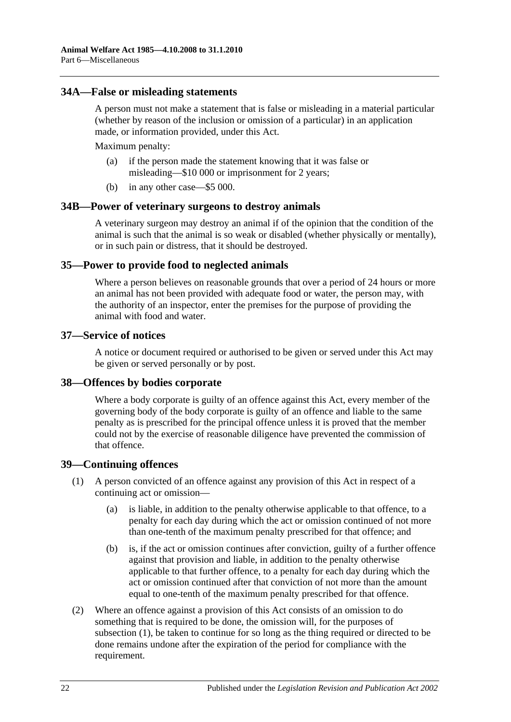## <span id="page-21-0"></span>**34A—False or misleading statements**

A person must not make a statement that is false or misleading in a material particular (whether by reason of the inclusion or omission of a particular) in an application made, or information provided, under this Act.

Maximum penalty:

- (a) if the person made the statement knowing that it was false or misleading—\$10 000 or imprisonment for 2 years;
- (b) in any other case—\$5 000.

#### <span id="page-21-1"></span>**34B—Power of veterinary surgeons to destroy animals**

A veterinary surgeon may destroy an animal if of the opinion that the condition of the animal is such that the animal is so weak or disabled (whether physically or mentally), or in such pain or distress, that it should be destroyed.

#### <span id="page-21-2"></span>**35—Power to provide food to neglected animals**

Where a person believes on reasonable grounds that over a period of 24 hours or more an animal has not been provided with adequate food or water, the person may, with the authority of an inspector, enter the premises for the purpose of providing the animal with food and water.

#### <span id="page-21-3"></span>**37—Service of notices**

A notice or document required or authorised to be given or served under this Act may be given or served personally or by post.

#### <span id="page-21-4"></span>**38—Offences by bodies corporate**

Where a body corporate is guilty of an offence against this Act, every member of the governing body of the body corporate is guilty of an offence and liable to the same penalty as is prescribed for the principal offence unless it is proved that the member could not by the exercise of reasonable diligence have prevented the commission of that offence.

#### <span id="page-21-6"></span><span id="page-21-5"></span>**39—Continuing offences**

- (1) A person convicted of an offence against any provision of this Act in respect of a continuing act or omission—
	- (a) is liable, in addition to the penalty otherwise applicable to that offence, to a penalty for each day during which the act or omission continued of not more than one-tenth of the maximum penalty prescribed for that offence; and
	- (b) is, if the act or omission continues after conviction, guilty of a further offence against that provision and liable, in addition to the penalty otherwise applicable to that further offence, to a penalty for each day during which the act or omission continued after that conviction of not more than the amount equal to one-tenth of the maximum penalty prescribed for that offence.
- (2) Where an offence against a provision of this Act consists of an omission to do something that is required to be done, the omission will, for the purposes of [subsection](#page-21-6) (1), be taken to continue for so long as the thing required or directed to be done remains undone after the expiration of the period for compliance with the requirement.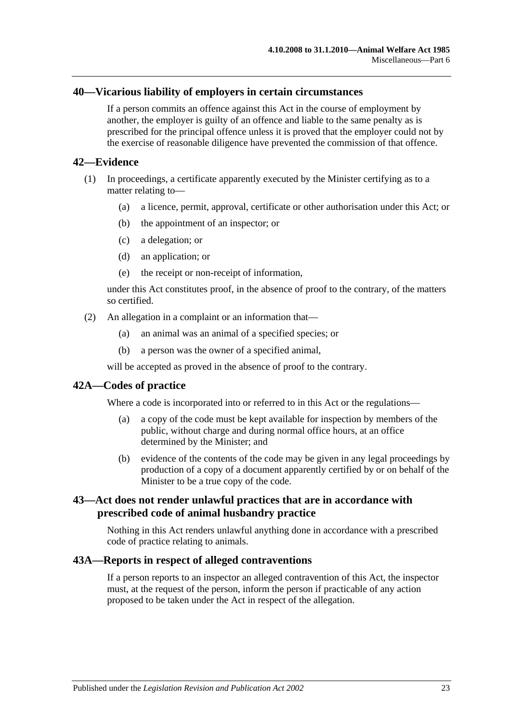#### <span id="page-22-0"></span>**40—Vicarious liability of employers in certain circumstances**

If a person commits an offence against this Act in the course of employment by another, the employer is guilty of an offence and liable to the same penalty as is prescribed for the principal offence unless it is proved that the employer could not by the exercise of reasonable diligence have prevented the commission of that offence.

#### <span id="page-22-1"></span>**42—Evidence**

- (1) In proceedings, a certificate apparently executed by the Minister certifying as to a matter relating to—
	- (a) a licence, permit, approval, certificate or other authorisation under this Act; or
	- (b) the appointment of an inspector; or
	- (c) a delegation; or
	- (d) an application; or
	- (e) the receipt or non-receipt of information,

under this Act constitutes proof, in the absence of proof to the contrary, of the matters so certified.

- (2) An allegation in a complaint or an information that—
	- (a) an animal was an animal of a specified species; or
	- (b) a person was the owner of a specified animal,

will be accepted as proved in the absence of proof to the contrary.

# <span id="page-22-2"></span>**42A—Codes of practice**

Where a code is incorporated into or referred to in this Act or the regulations—

- (a) a copy of the code must be kept available for inspection by members of the public, without charge and during normal office hours, at an office determined by the Minister; and
- (b) evidence of the contents of the code may be given in any legal proceedings by production of a copy of a document apparently certified by or on behalf of the Minister to be a true copy of the code.

# <span id="page-22-3"></span>**43—Act does not render unlawful practices that are in accordance with prescribed code of animal husbandry practice**

Nothing in this Act renders unlawful anything done in accordance with a prescribed code of practice relating to animals.

### <span id="page-22-4"></span>**43A—Reports in respect of alleged contraventions**

If a person reports to an inspector an alleged contravention of this Act, the inspector must, at the request of the person, inform the person if practicable of any action proposed to be taken under the Act in respect of the allegation.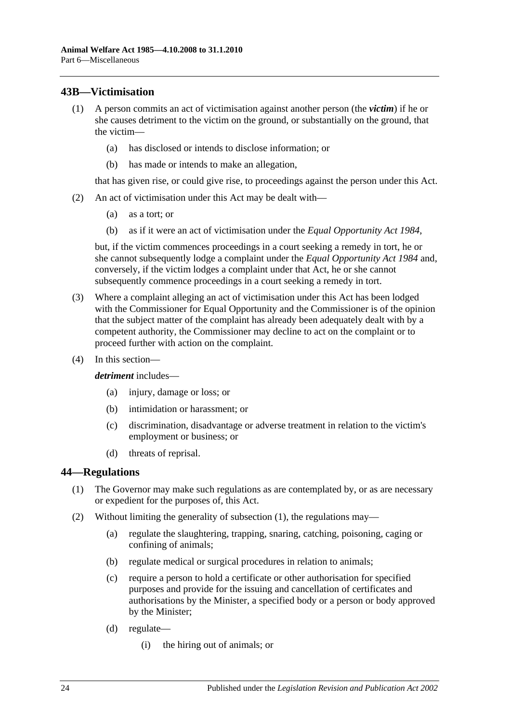# <span id="page-23-0"></span>**43B—Victimisation**

- (1) A person commits an act of victimisation against another person (the *victim*) if he or she causes detriment to the victim on the ground, or substantially on the ground, that the victim—
	- (a) has disclosed or intends to disclose information; or
	- (b) has made or intends to make an allegation,

that has given rise, or could give rise, to proceedings against the person under this Act.

- (2) An act of victimisation under this Act may be dealt with—
	- (a) as a tort; or
	- (b) as if it were an act of victimisation under the *[Equal Opportunity Act](http://www.legislation.sa.gov.au/index.aspx?action=legref&type=act&legtitle=Equal%20Opportunity%20Act%201984) 1984*,

but, if the victim commences proceedings in a court seeking a remedy in tort, he or she cannot subsequently lodge a complaint under the *[Equal Opportunity Act](http://www.legislation.sa.gov.au/index.aspx?action=legref&type=act&legtitle=Equal%20Opportunity%20Act%201984) 1984* and, conversely, if the victim lodges a complaint under that Act, he or she cannot subsequently commence proceedings in a court seeking a remedy in tort.

- (3) Where a complaint alleging an act of victimisation under this Act has been lodged with the Commissioner for Equal Opportunity and the Commissioner is of the opinion that the subject matter of the complaint has already been adequately dealt with by a competent authority, the Commissioner may decline to act on the complaint or to proceed further with action on the complaint.
- (4) In this section—

*detriment* includes—

- (a) injury, damage or loss; or
- (b) intimidation or harassment; or
- (c) discrimination, disadvantage or adverse treatment in relation to the victim's employment or business; or
- (d) threats of reprisal.

#### <span id="page-23-2"></span><span id="page-23-1"></span>**44—Regulations**

- (1) The Governor may make such regulations as are contemplated by, or as are necessary or expedient for the purposes of, this Act.
- (2) Without limiting the generality of [subsection](#page-23-2) (1), the regulations may—
	- (a) regulate the slaughtering, trapping, snaring, catching, poisoning, caging or confining of animals;
	- (b) regulate medical or surgical procedures in relation to animals;
	- (c) require a person to hold a certificate or other authorisation for specified purposes and provide for the issuing and cancellation of certificates and authorisations by the Minister, a specified body or a person or body approved by the Minister;
	- (d) regulate—
		- (i) the hiring out of animals; or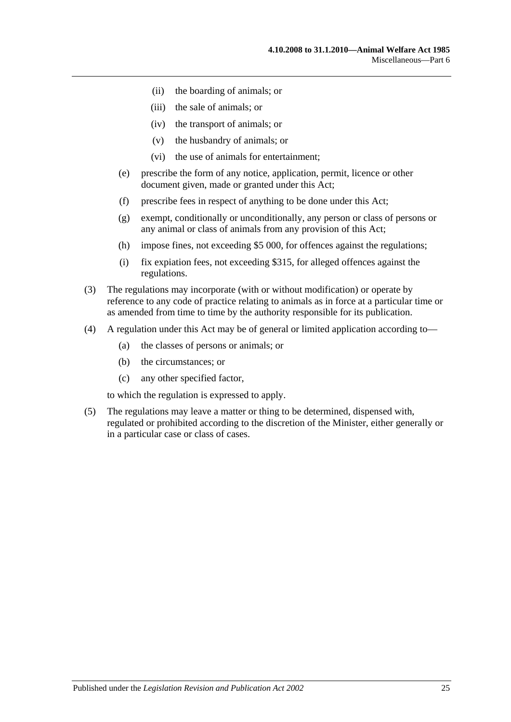- (ii) the boarding of animals; or
- (iii) the sale of animals; or
- (iv) the transport of animals; or
- (v) the husbandry of animals; or
- (vi) the use of animals for entertainment;
- (e) prescribe the form of any notice, application, permit, licence or other document given, made or granted under this Act;
- (f) prescribe fees in respect of anything to be done under this Act;
- (g) exempt, conditionally or unconditionally, any person or class of persons or any animal or class of animals from any provision of this Act;
- (h) impose fines, not exceeding \$5 000, for offences against the regulations;
- (i) fix expiation fees, not exceeding \$315, for alleged offences against the regulations.
- (3) The regulations may incorporate (with or without modification) or operate by reference to any code of practice relating to animals as in force at a particular time or as amended from time to time by the authority responsible for its publication.
- (4) A regulation under this Act may be of general or limited application according to—
	- (a) the classes of persons or animals; or
	- (b) the circumstances; or
	- (c) any other specified factor,

to which the regulation is expressed to apply.

(5) The regulations may leave a matter or thing to be determined, dispensed with, regulated or prohibited according to the discretion of the Minister, either generally or in a particular case or class of cases.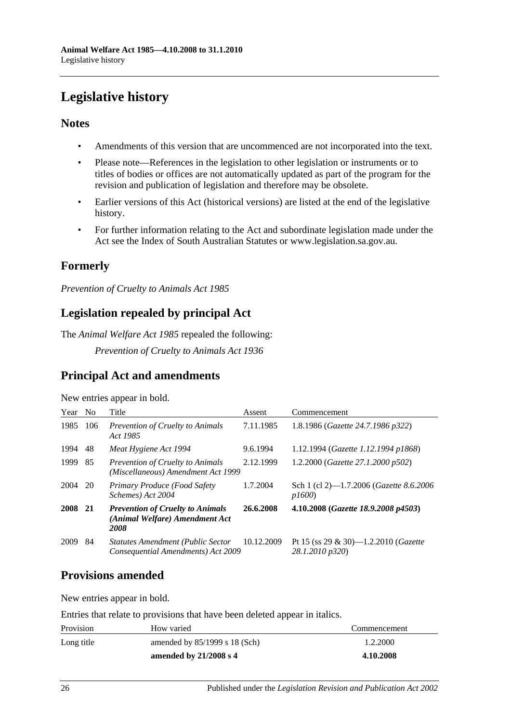# <span id="page-25-0"></span>**Legislative history**

# **Notes**

- Amendments of this version that are uncommenced are not incorporated into the text.
- Please note—References in the legislation to other legislation or instruments or to titles of bodies or offices are not automatically updated as part of the program for the revision and publication of legislation and therefore may be obsolete.
- Earlier versions of this Act (historical versions) are listed at the end of the legislative history.
- For further information relating to the Act and subordinate legislation made under the Act see the Index of South Australian Statutes or www.legislation.sa.gov.au.

# **Formerly**

*Prevention of Cruelty to Animals Act 1985*

# **Legislation repealed by principal Act**

The *Animal Welfare Act 1985* repealed the following:

*Prevention of Cruelty to Animals Act 1936*

# **Principal Act and amendments**

| New entries appear in bold. |  |  |
|-----------------------------|--|--|

| Year    | No. | Title                                                                             | Assent     | Commencement                                                    |
|---------|-----|-----------------------------------------------------------------------------------|------------|-----------------------------------------------------------------|
| 1985    | 106 | <b>Prevention of Cruelty to Animals</b><br>Act 1985                               | 7.11.1985  | 1.8.1986 (Gazette 24.7.1986 p322)                               |
| 1994    | 48  | Meat Hygiene Act 1994                                                             | 9.6.1994   | 1.12.1994 (Gazette 1.12.1994 p1868)                             |
| 1999    | 85  | <b>Prevention of Cruelty to Animals</b><br>(Miscellaneous) Amendment Act 1999     | 2.12.1999  | 1.2.2000 (Gazette 27.1.2000 p502)                               |
| 2004    | 20  | Primary Produce (Food Safety<br>Schemes) Act 2004                                 | 1.7.2004   | Sch 1 (cl 2)—1.7.2006 ( <i>Gazette 8.6.2006</i><br>p1600        |
| 2008 21 |     | <b>Prevention of Cruelty to Animals</b><br>(Animal Welfare) Amendment Act<br>2008 | 26.6.2008  | 4.10.2008 (Gazette 18.9.2008 p4503)                             |
| 2009    | 84  | <b>Statutes Amendment (Public Sector</b><br>Consequential Amendments) Act 2009    | 10.12.2009 | Pt 15 (ss 29 & 30)—1.2.2010 ( <i>Gazette</i><br>28.1.2010 p320) |

# **Provisions amended**

New entries appear in bold.

Entries that relate to provisions that have been deleted appear in italics.

| Provision  | How varied                      | Commencement |
|------------|---------------------------------|--------------|
| Long title | amended by $85/1999$ s 18 (Sch) | 1.2.2000     |
|            | amended by $21/2008$ s 4        | 4.10.2008    |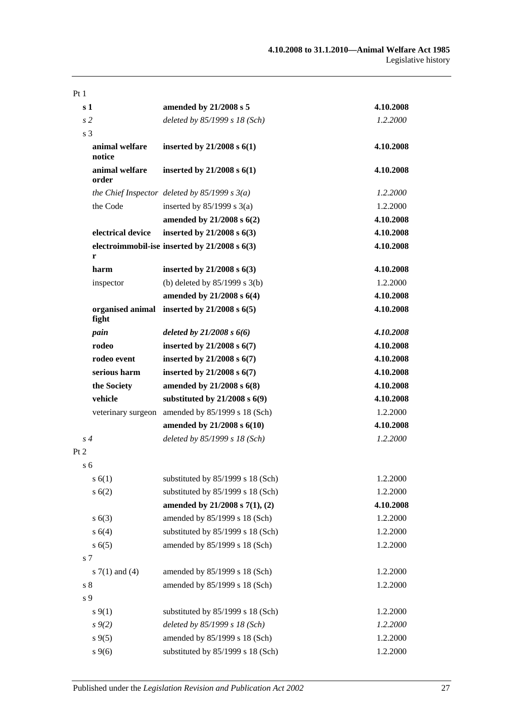| Pt <sub>1</sub>           |                                                   |           |
|---------------------------|---------------------------------------------------|-----------|
| s <sub>1</sub>            | amended by 21/2008 s 5                            | 4.10.2008 |
| s <sub>2</sub>            | deleted by 85/1999 s 18 (Sch)                     | 1.2.2000  |
| s <sub>3</sub>            |                                                   |           |
| animal welfare<br>notice  | inserted by $21/2008$ s $6(1)$                    | 4.10.2008 |
| animal welfare<br>order   | inserted by $21/2008$ s $6(1)$                    | 4.10.2008 |
|                           | the Chief Inspector deleted by $85/1999 s 3(a)$   | 1.2.2000  |
| the Code                  | inserted by $85/1999$ s $3(a)$                    | 1.2.2000  |
|                           | amended by $21/2008$ s $6(2)$                     | 4.10.2008 |
| electrical device         | inserted by 21/2008 s 6(3)                        | 4.10.2008 |
| r                         | electroimmobil-ise inserted by $21/2008$ s $6(3)$ | 4.10.2008 |
| harm                      | inserted by $21/2008$ s $6(3)$                    | 4.10.2008 |
| inspector                 | (b) deleted by $85/1999$ s $3(b)$                 | 1.2.2000  |
|                           | amended by 21/2008 s 6(4)                         | 4.10.2008 |
| organised animal<br>fight | inserted by $21/2008$ s $6(5)$                    | 4.10.2008 |
| pain                      | deleted by $21/2008 s 6(6)$                       | 4.10.2008 |
| rodeo                     | inserted by $21/2008$ s $6(7)$                    | 4.10.2008 |
| rodeo event               | inserted by $21/2008$ s $6(7)$                    | 4.10.2008 |
| serious harm              | inserted by $21/2008$ s $6(7)$                    | 4.10.2008 |
| the Society               | amended by $21/2008$ s $6(8)$                     | 4.10.2008 |
| vehicle                   | substituted by $21/2008$ s $6(9)$                 | 4.10.2008 |
| veterinary surgeon        | amended by 85/1999 s 18 (Sch)                     | 1.2.2000  |
|                           | amended by 21/2008 s 6(10)                        | 4.10.2008 |
| s 4                       | deleted by 85/1999 s 18 (Sch)                     | 1.2.2000  |
| Pt 2                      |                                                   |           |
| s 6                       |                                                   |           |
| s(6(1))                   | substituted by 85/1999 s 18 (Sch)                 | 1.2.2000  |
| s(6(2)                    | substituted by 85/1999 s 18 (Sch)                 | 1.2.2000  |
|                           | amended by 21/2008 s 7(1), (2)                    | 4.10.2008 |
| s(6(3))                   | amended by 85/1999 s 18 (Sch)                     | 1.2.2000  |
| s 6(4)                    | substituted by 85/1999 s 18 (Sch)                 | 1.2.2000  |
| s(6(5)                    | amended by 85/1999 s 18 (Sch)                     | 1.2.2000  |
| s 7                       |                                                   |           |
| s $7(1)$ and $(4)$        | amended by 85/1999 s 18 (Sch)                     | 1.2.2000  |
| s <sub>8</sub>            | amended by 85/1999 s 18 (Sch)                     | 1.2.2000  |
| s 9                       |                                                   |           |
| $s \, 9(1)$               | substituted by 85/1999 s 18 (Sch)                 | 1.2.2000  |
| $s \, 9(2)$               | deleted by 85/1999 s 18 (Sch)                     | 1.2.2000  |
| $s \, 9(5)$               | amended by 85/1999 s 18 (Sch)                     | 1.2.2000  |
| $s \, 9(6)$               | substituted by 85/1999 s 18 (Sch)                 | 1.2.2000  |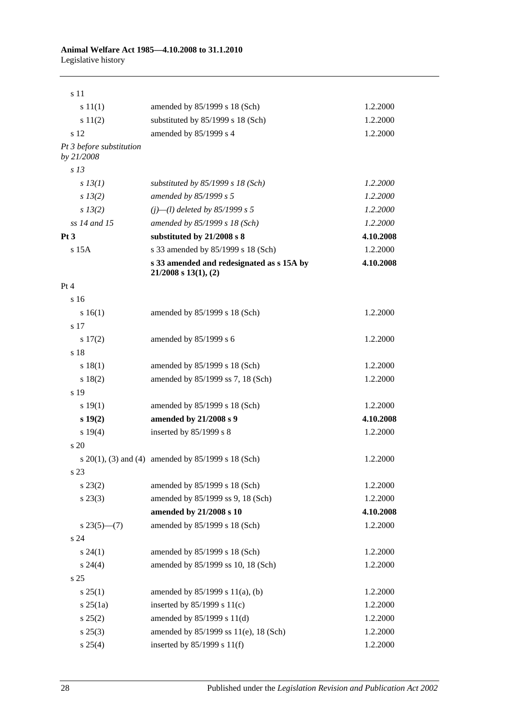| s 11                                   |                                                                          |           |
|----------------------------------------|--------------------------------------------------------------------------|-----------|
| s 11(1)                                | amended by 85/1999 s 18 (Sch)                                            | 1.2.2000  |
| s 11(2)                                | substituted by 85/1999 s 18 (Sch)                                        | 1.2.2000  |
| s 12                                   | amended by 85/1999 s 4                                                   | 1.2.2000  |
| Pt 3 before substitution<br>by 21/2008 |                                                                          |           |
| s <sub>13</sub>                        |                                                                          |           |
| $s$ 13(1)                              | substituted by $85/1999 s 18$ (Sch)                                      | 1.2.2000  |
| $s\,13(2)$                             | amended by 85/1999 s 5                                                   | 1.2.2000  |
| $s\,13(2)$                             | $(j)$ —(l) deleted by 85/1999 s 5                                        | 1.2.2000  |
| ss 14 and 15                           | amended by 85/1999 s 18 (Sch)                                            | 1.2.2000  |
| Pt3                                    | substituted by 21/2008 s 8                                               | 4.10.2008 |
| $s$ 15 $A$                             | s 33 amended by 85/1999 s 18 (Sch)                                       | 1.2.2000  |
|                                        | s 33 amended and redesignated as s 15A by<br>$21/2008$ s $13(1)$ , $(2)$ | 4.10.2008 |
| Pt 4                                   |                                                                          |           |
| s 16                                   |                                                                          |           |
| s 16(1)                                | amended by 85/1999 s 18 (Sch)                                            | 1.2.2000  |
| s 17                                   |                                                                          |           |
| $s\ 17(2)$                             | amended by 85/1999 s 6                                                   | 1.2.2000  |
| s 18                                   |                                                                          |           |
| s 18(1)                                | amended by 85/1999 s 18 (Sch)                                            | 1.2.2000  |
| s 18(2)                                | amended by 85/1999 ss 7, 18 (Sch)                                        | 1.2.2000  |
| s 19                                   |                                                                          |           |
| s 19(1)                                | amended by 85/1999 s 18 (Sch)                                            | 1.2.2000  |
| $s\ 19(2)$                             | amended by 21/2008 s 9                                                   | 4.10.2008 |
| s 19(4)                                | inserted by $85/1999$ s 8                                                | 1.2.2000  |
| s <sub>20</sub>                        |                                                                          |           |
|                                        | s $20(1)$ , (3) and (4) amended by $85/1999$ s 18 (Sch)                  | 1.2.2000  |
| s 23                                   |                                                                          |           |
| $s\,23(2)$                             | amended by 85/1999 s 18 (Sch)                                            | 1.2.2000  |
| $s\,23(3)$                             | amended by 85/1999 ss 9, 18 (Sch)                                        | 1.2.2000  |
|                                        | amended by 21/2008 s 10                                                  | 4.10.2008 |
| $s23(5)$ (7)                           | amended by 85/1999 s 18 (Sch)                                            | 1.2.2000  |
| s24                                    |                                                                          |           |
| $s\,24(1)$                             | amended by 85/1999 s 18 (Sch)                                            | 1.2.2000  |
| $s\,24(4)$                             | amended by 85/1999 ss 10, 18 (Sch)                                       | 1.2.2000  |
| s <sub>25</sub>                        |                                                                          |           |
| $s \, 25(1)$                           | amended by $85/1999$ s $11(a)$ , (b)                                     | 1.2.2000  |
| $s \, 25(1a)$                          | inserted by $85/1999$ s $11(c)$                                          | 1.2.2000  |
| $s\,25(2)$                             | amended by $85/1999$ s $11(d)$                                           | 1.2.2000  |
| $s\,25(3)$                             | amended by 85/1999 ss 11(e), 18 (Sch)                                    | 1.2.2000  |
| $s \, 25(4)$                           | inserted by $85/1999$ s $11(f)$                                          | 1.2.2000  |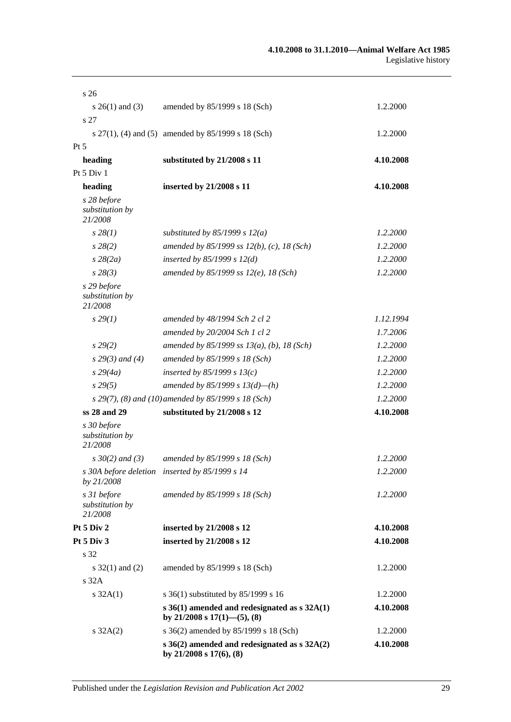| s <sub>26</sub>                           |                                                                                      |           |
|-------------------------------------------|--------------------------------------------------------------------------------------|-----------|
| s $26(1)$ and (3)                         | amended by 85/1999 s 18 (Sch)                                                        | 1.2.2000  |
| s 27                                      |                                                                                      |           |
|                                           | s $27(1)$ , (4) and (5) amended by $85/1999$ s 18 (Sch)                              | 1.2.2000  |
| $Pt\,5$                                   |                                                                                      |           |
| heading                                   | substituted by 21/2008 s 11                                                          | 4.10.2008 |
| Pt 5 Div 1                                |                                                                                      |           |
| heading                                   | inserted by 21/2008 s 11                                                             | 4.10.2008 |
| s 28 before<br>substitution by<br>21/2008 |                                                                                      |           |
| $s\,28(1)$                                | substituted by $85/1999$ s $12(a)$                                                   | 1.2.2000  |
| $s\,28(2)$                                | amended by 85/1999 ss $12(b)$ , (c), 18 (Sch)                                        | 1.2.2000  |
| $s\,28(2a)$                               | inserted by $85/1999 s 12(d)$                                                        | 1.2.2000  |
| $s\,28(3)$                                | amended by $85/1999$ ss $12(e)$ , 18 (Sch)                                           | 1.2.2000  |
| s 29 before<br>substitution by<br>21/2008 |                                                                                      |           |
| $s\,29(1)$                                | amended by 48/1994 Sch 2 cl 2                                                        | 1.12.1994 |
|                                           | amended by 20/2004 Sch 1 cl 2                                                        | 1.7.2006  |
| s 29(2)                                   | amended by $85/1999$ ss $13(a)$ , (b), 18 (Sch)                                      | 1.2.2000  |
| $s 29(3)$ and (4)                         | amended by 85/1999 s 18 (Sch)                                                        | 1.2.2000  |
| $s\,29(4a)$                               | inserted by $85/1999 s 13(c)$                                                        | 1.2.2000  |
| $s\,29(5)$                                | amended by 85/1999 s $13(d)$ —(h)                                                    | 1.2.2000  |
|                                           | s 29(7), (8) and (10) amended by 85/1999 s 18 (Sch)                                  | 1.2.2000  |
| ss 28 and 29                              | substituted by 21/2008 s 12                                                          | 4.10.2008 |
| s 30 before<br>substitution by<br>21/2008 |                                                                                      |           |
| $s \, 30(2)$ and (3)                      | amended by 85/1999 s 18 (Sch)                                                        | 1.2.2000  |
| by 21/2008                                | s 30A before deletion inserted by 85/1999 s 14                                       | 1.2.2000  |
| s 31 before<br>substitution by<br>21/2008 | amended by 85/1999 s 18 (Sch)                                                        | 1.2.2000  |
| Pt 5 Div 2                                | inserted by 21/2008 s 12                                                             | 4.10.2008 |
| Pt 5 Div 3                                | inserted by 21/2008 s 12                                                             | 4.10.2008 |
| s 32                                      |                                                                                      |           |
| s $32(1)$ and $(2)$                       | amended by 85/1999 s 18 (Sch)                                                        | 1.2.2000  |
| s <sub>32A</sub>                          |                                                                                      |           |
| $s \, 32A(1)$                             | s 36(1) substituted by 85/1999 s 16                                                  | 1.2.2000  |
|                                           | s $36(1)$ amended and redesignated as s $32A(1)$<br>by $21/2008$ s $17(1)$ —(5), (8) | 4.10.2008 |
| $s \, 32A(2)$                             | s 36(2) amended by 85/1999 s 18 (Sch)                                                | 1.2.2000  |
|                                           | s $36(2)$ amended and redesignated as s $32A(2)$<br>by $21/2008$ s $17(6)$ , $(8)$   | 4.10.2008 |